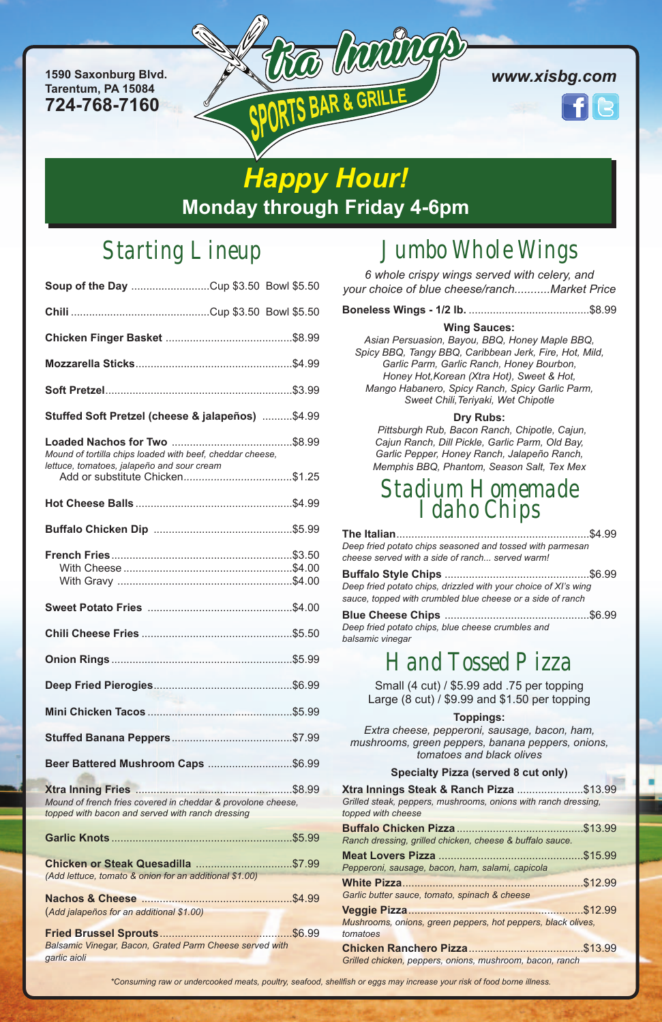# Starting Lineup

| Soup of the Day Cup \$3.50 Bowl \$5.50                                                                  |  |
|---------------------------------------------------------------------------------------------------------|--|
|                                                                                                         |  |
|                                                                                                         |  |
|                                                                                                         |  |
|                                                                                                         |  |
| Stuffed Soft Pretzel (cheese & jalapeños) \$4.99                                                        |  |
| Mound of tortilla chips loaded with beef, cheddar cheese,<br>lettuce, tomatoes, jalapeño and sour cream |  |
|                                                                                                         |  |
|                                                                                                         |  |
|                                                                                                         |  |
|                                                                                                         |  |
|                                                                                                         |  |
|                                                                                                         |  |
|                                                                                                         |  |
|                                                                                                         |  |
|                                                                                                         |  |
|                                                                                                         |  |

#### **Beer Battered Mushroom Caps** ............................\$6.99

**Xtra Inning Fries** ....................................................\$8.99 *Mound of french fries covered in cheddar & provolone cheese, topped with bacon and served with ranch dressing*

**Garlic Knots** ............................................................\$5.99

**Chicken or Steak Quesadilla** ................................\$7.99 *(Add lettuce, tomato & onion for an additional \$1.00)*

**Nachos & Cheese** ..................................................\$4.99 (*Add jalapeños for an additional \$1.00)*

**Fried Brussel Sprouts**............................................\$6.99 *Balsamic Vinegar, Bacon, Grated Parm Cheese served with garlic aioli*

# Jumbo Whole Wings

*6 whole crispy wings served with celery, and your choice of blue cheese/ranch...........Market Price*

|--|--|--|--|--|--|--|

#### **Wing Sauces:**

*Asian Persuasion, Bayou, BBQ, Honey Maple BBQ, Spicy BBQ, Tangy BBQ, Caribbean Jerk, Fire, Hot, Mild, Garlic Parm, Garlic Ranch, Honey Bourbon, Honey Hot,Korean (Xtra Hot), Sweet & Hot, Mango Habanero, Spicy Ranch, Spicy Garlic Parm, Sweet Chili,Teriyaki, Wet Chipotle*

#### **Dry Rubs:**

*Pittsburgh Rub, Bacon Ranch, Chipotle, Cajun, Cajun Ranch, Dill Pickle, Garlic Parm, Old Bay, Garlic Pepper, Honey Ranch, Jalapeño Ranch, Memphis BBQ, Phantom, Season Salt, Tex Mex*

## Stadium Homemade Idaho Chips

| Deep fried potato chips seasoned and tossed with parmesan<br>cheese served with a side of ranch served warm!                  |         |  |
|-------------------------------------------------------------------------------------------------------------------------------|---------|--|
|                                                                                                                               | .\$6.99 |  |
| Deep fried potato chips, drizzled with your choice of XI's wing<br>sauce, topped with crumbled blue cheese or a side of ranch |         |  |
| Deep fried potato chips, blue cheese crumbles and<br>balsamic vinegar                                                         |         |  |
| <b>Hand Tossed Pizza</b>                                                                                                      |         |  |
| Small (4 cut) / \$5.99 add .75 per topping<br>Large (8 cut) / \$9.99 and \$1.50 per topping                                   |         |  |

#### **Toppings:**

*Extra cheese, pepperoni, sausage, bacon, ham, mushrooms, green peppers, banana peppers, onions,*

| tomatoes and black olives                                                                                                        |  |
|----------------------------------------------------------------------------------------------------------------------------------|--|
| <b>Specialty Pizza (served 8 cut only)</b>                                                                                       |  |
| Xtra Innings Steak & Ranch Pizza \$13.99<br>Grilled steak, peppers, mushrooms, onions with ranch dressing,<br>topped with cheese |  |
| Ranch dressing, grilled chicken, cheese & buffalo sauce.                                                                         |  |
| Pepperoni, sausage, bacon, ham, salami, capicola                                                                                 |  |
| Garlic butter sauce, tomato, spinach & cheese                                                                                    |  |
| Mushrooms, onions, green peppers, hot peppers, black olives,<br>tomatoes                                                         |  |
| Grilled chicken, peppers, onions, mushroom, bacon, ranch                                                                         |  |

\*Consuming raw or undercooked meats, poultry, seafood, shellfish or eggs may increase your risk of food borne illness.

**1590 Saxonburg Blvd. Tarentum, PA 15084 724-768-7160**



*www.xisbg.com*

*Happy Hour!* **Monday through Friday 4-6pm**